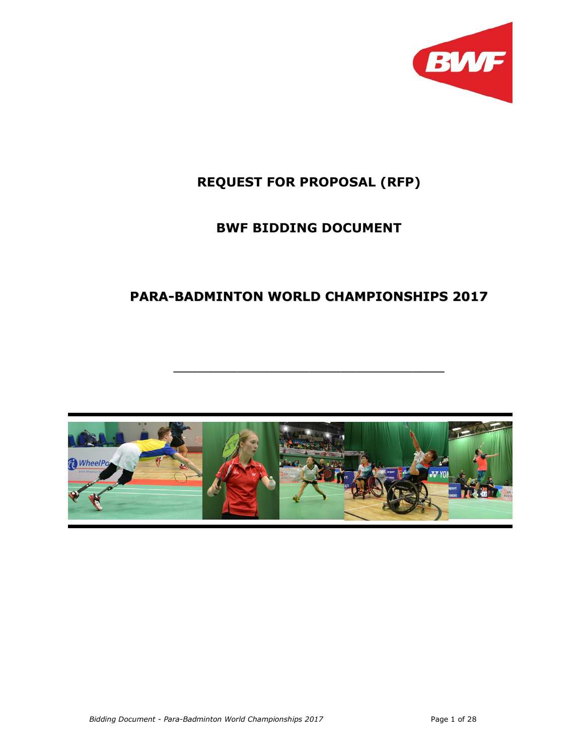

# REQUEST FOR PROPOSAL (RFP)

## BWF BIDDING DOCUMENT

# PARA-BADMINTON WORLD CHAMPIONSHIPS 2017

\_\_\_\_\_\_\_\_\_\_\_\_\_\_\_\_\_\_\_\_\_\_\_\_\_\_\_\_\_\_\_\_\_\_

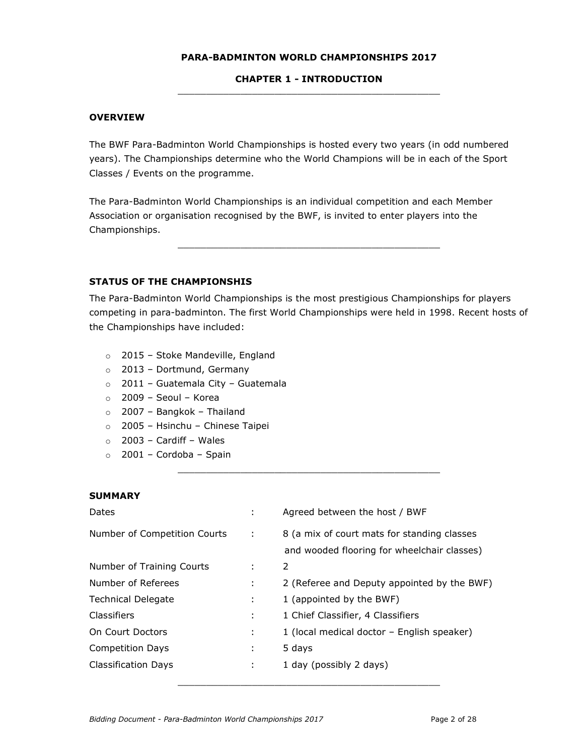## PARA-BADMINTON WORLD CHAMPIONSHIPS 2017

#### CHAPTER 1 - INTRODUCTION \_\_\_\_\_\_\_\_\_\_\_\_\_\_\_\_\_\_\_\_\_\_\_\_\_\_\_\_\_\_\_\_\_\_\_\_\_\_\_\_\_\_\_\_\_\_

#### **OVERVIEW**

The BWF Para-Badminton World Championships is hosted every two years (in odd numbered years). The Championships determine who the World Champions will be in each of the Sport Classes / Events on the programme.

The Para-Badminton World Championships is an individual competition and each Member Association or organisation recognised by the BWF, is invited to enter players into the Championships.

#### STATUS OF THE CHAMPIONSHIS

The Para-Badminton World Championships is the most prestigious Championships for players competing in para-badminton. The first World Championships were held in 1998. Recent hosts of the Championships have included:

\_\_\_\_\_\_\_\_\_\_\_\_\_\_\_\_\_\_\_\_\_\_\_\_\_\_\_\_\_\_\_\_\_\_\_\_\_\_\_\_\_\_\_\_\_\_

\_\_\_\_\_\_\_\_\_\_\_\_\_\_\_\_\_\_\_\_\_\_\_\_\_\_\_\_\_\_\_\_\_\_\_\_\_\_\_\_\_\_\_\_\_\_

- o 2015 Stoke Mandeville, England
- o 2013 Dortmund, Germany
- o 2011 Guatemala City Guatemala
- $\circ$  2009 Seoul Korea
- o 2007 Bangkok Thailand
- o 2005 Hsinchu Chinese Taipei
- $\circ$  2003 Cardiff Wales
- o 2001 Cordoba Spain

## **SUMMARY**

| Dates                        | ÷           | Agreed between the host / BWF                                                              |
|------------------------------|-------------|--------------------------------------------------------------------------------------------|
| Number of Competition Courts | $\sim 10^6$ | 8 (a mix of court mats for standing classes<br>and wooded flooring for wheelchair classes) |
| Number of Training Courts    | ÷           | 2                                                                                          |
| Number of Referees           | ÷           | 2 (Referee and Deputy appointed by the BWF)                                                |
| <b>Technical Delegate</b>    | ÷           | 1 (appointed by the BWF)                                                                   |
| Classifiers                  | ÷           | 1 Chief Classifier, 4 Classifiers                                                          |
| On Court Doctors             | ÷           | 1 (local medical doctor – English speaker)                                                 |
| <b>Competition Days</b>      | ÷           | 5 days                                                                                     |
| Classification Days          | ÷           | 1 day (possibly 2 days)                                                                    |

\_\_\_\_\_\_\_\_\_\_\_\_\_\_\_\_\_\_\_\_\_\_\_\_\_\_\_\_\_\_\_\_\_\_\_\_\_\_\_\_\_\_\_\_\_\_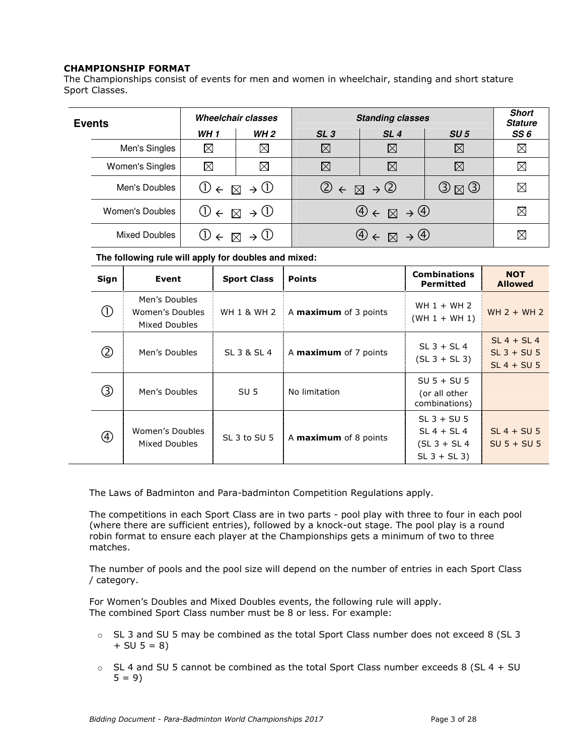## CHAMPIONSHIP FORMAT

The Championships consist of events for men and women in wheelchair, standing and short stature Sport Classes.

| <b>Events</b> |                 | <b>Wheelchair classes</b>                          |             | <b>Standing classes</b>                              |                                                                                      |                                             | <b>Short</b><br><b>Stature</b> |
|---------------|-----------------|----------------------------------------------------|-------------|------------------------------------------------------|--------------------------------------------------------------------------------------|---------------------------------------------|--------------------------------|
|               |                 | <b>WH1</b>                                         | <b>WH 2</b> | SL <sub>3</sub>                                      | SL <sub>4</sub>                                                                      | SU <sub>5</sub>                             | SS 6                           |
|               | Men's Singles   | $\boxtimes$                                        | $\boxtimes$ | $\boxtimes$                                          | $\boxtimes$                                                                          | $\boxtimes$                                 | $\boxtimes$                    |
|               | Women's Singles | $\boxtimes$                                        | $\boxtimes$ | $\boxtimes$                                          | $\boxtimes$                                                                          | $\boxtimes$                                 | $\boxtimes$                    |
|               | Men's Doubles   | $\mathbb{0} \in \mathbb{R} \to \mathbb{0}$         |             | $\mathcal{Q} \in \mathbb{Z} \rightarrow \mathcal{Q}$ |                                                                                      | $\textcircled{3} \boxtimes \textcircled{3}$ | $\boxtimes$                    |
|               | Women's Doubles | $\mathbb{O} \in \mathbb{Z} \rightarrow \mathbb{O}$ |             |                                                      | $\bigoplus \in \boxtimes \rightarrow \bigoplus$                                      |                                             | $\boxtimes$                    |
|               | Mixed Doubles   | $\mathbb{U} \in \mathbb{R} \rightarrow \mathbb{U}$ |             |                                                      | $\left(\frac{4}{2}\right) \leftarrow \boxtimes \rightarrow \left(\frac{4}{2}\right)$ |                                             | $\boxtimes$                    |

#### **The following rule will apply for doubles and mixed:**

| Sign           | Event                                             | <b>Sport Class</b>     | <b>Points</b>                | <b>Combinations</b><br><b>Permitted</b>                               | <b>NOT</b><br><b>Allowed</b>                    |
|----------------|---------------------------------------------------|------------------------|------------------------------|-----------------------------------------------------------------------|-------------------------------------------------|
|                | Men's Doubles<br>Women's Doubles<br>Mixed Doubles | <b>WH 1 &amp; WH 2</b> | A <b>maximum</b> of 3 points | WH $1 + WH$ 2<br>$(WH 1 + WH 1)$                                      | $WH 2 + WH 2$                                   |
| ②              | Men's Doubles                                     | SL 3 & SL 4            | A <b>maximum</b> of 7 points | $SL$ 3 + SL 4<br>$(SL 3 + SL 3)$                                      | $SL 4 + SL 4$<br>$SL$ 3 + SU 5<br>$SL 4 + SU 5$ |
| ③              | Men's Doubles                                     | SU <sub>5</sub>        | No limitation                | $SU 5 + SU 5$<br>(or all other<br>combinations)                       |                                                 |
| $^{\circledR}$ | Women's Doubles<br>Mixed Doubles                  | SL 3 to SU 5           | A maximum of 8 points        | $SL$ 3 + SU 5<br>$SL 4 + SL 4$<br>$(SL 3 + SL 4)$<br>$SL$ 3 + $SL$ 3) | $SL 4 + SU 5$<br>$SU 5 + SU 5$                  |

The Laws of Badminton and Para-badminton Competition Regulations apply.

The competitions in each Sport Class are in two parts - pool play with three to four in each pool (where there are sufficient entries), followed by a knock-out stage. The pool play is a round robin format to ensure each player at the Championships gets a minimum of two to three matches.

The number of pools and the pool size will depend on the number of entries in each Sport Class / category.

For Women's Doubles and Mixed Doubles events, the following rule will apply. The combined Sport Class number must be 8 or less. For example:

- o SL 3 and SU 5 may be combined as the total Sport Class number does not exceed 8 (SL 3  $+ SU 5 = 8$
- $\circ$  SL 4 and SU 5 cannot be combined as the total Sport Class number exceeds 8 (SL 4 + SU  $5 = 9$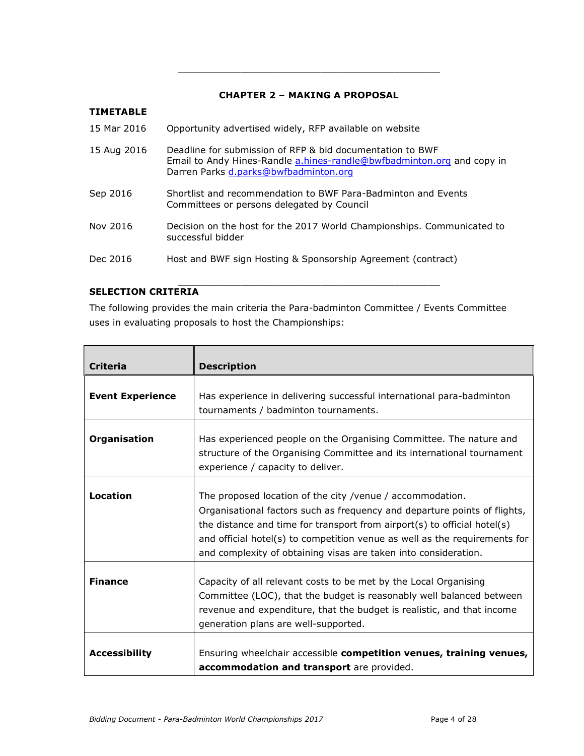## CHAPTER 2 – MAKING A PROPOSAL

\_\_\_\_\_\_\_\_\_\_\_\_\_\_\_\_\_\_\_\_\_\_\_\_\_\_\_\_\_\_\_\_\_\_\_\_\_\_\_\_\_\_\_\_\_\_

## TIMETABLE 15 Mar 2016 Opportunity advertised widely, RFP available on website 15 Aug 2016 Deadline for submission of RFP & bid documentation to BWF Email to Andy Hines-Randle a.hines-randle@bwfbadminton.org and copy in Darren Parks d.parks@bwfbadminton.org Sep 2016 Shortlist and recommendation to BWF Para-Badminton and Events Committees or persons delegated by Council Nov 2016 Decision on the host for the 2017 World Championships. Communicated to successful bidder Dec 2016 Host and BWF sign Hosting & Sponsorship Agreement (contract) \_\_\_\_\_\_\_\_\_\_\_\_\_\_\_\_\_\_\_\_\_\_\_\_\_\_\_\_\_\_\_\_\_\_\_\_\_\_\_\_\_\_\_\_\_\_

## SELECTION CRITERIA

The following provides the main criteria the Para-badminton Committee / Events Committee uses in evaluating proposals to host the Championships:

| <b>Criteria</b>                                                                                                                                                                                   | <b>Description</b>                                                                                                                                                                                                                                                                                                                                                  |  |  |
|---------------------------------------------------------------------------------------------------------------------------------------------------------------------------------------------------|---------------------------------------------------------------------------------------------------------------------------------------------------------------------------------------------------------------------------------------------------------------------------------------------------------------------------------------------------------------------|--|--|
| <b>Event Experience</b>                                                                                                                                                                           | Has experience in delivering successful international para-badminton<br>tournaments / badminton tournaments.                                                                                                                                                                                                                                                        |  |  |
| Organisation<br>Has experienced people on the Organising Committee. The nature and<br>structure of the Organising Committee and its international tournament<br>experience / capacity to deliver. |                                                                                                                                                                                                                                                                                                                                                                     |  |  |
| Location                                                                                                                                                                                          | The proposed location of the city /venue / accommodation.<br>Organisational factors such as frequency and departure points of flights,<br>the distance and time for transport from airport(s) to official hotel(s)<br>and official hotel(s) to competition venue as well as the requirements for<br>and complexity of obtaining visas are taken into consideration. |  |  |
| <b>Finance</b>                                                                                                                                                                                    | Capacity of all relevant costs to be met by the Local Organising<br>Committee (LOC), that the budget is reasonably well balanced between<br>revenue and expenditure, that the budget is realistic, and that income<br>generation plans are well-supported.                                                                                                          |  |  |
| <b>Accessibility</b>                                                                                                                                                                              | Ensuring wheelchair accessible competition venues, training venues,<br>accommodation and transport are provided.                                                                                                                                                                                                                                                    |  |  |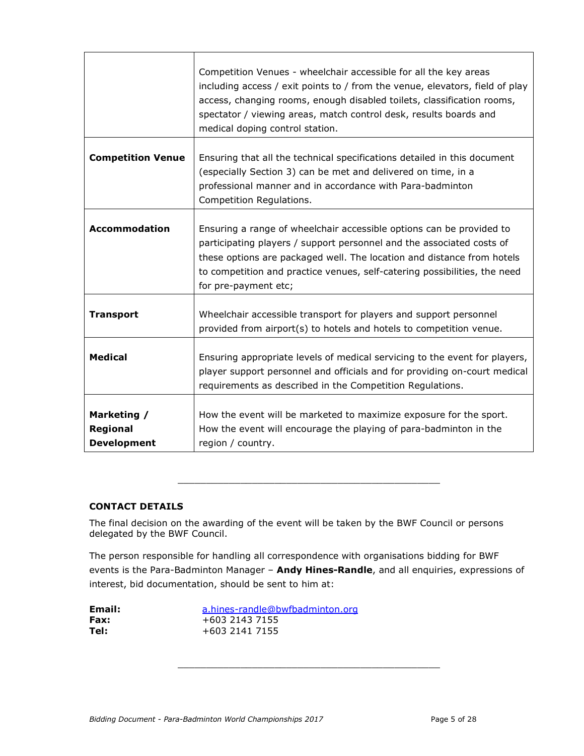|                                                      | Competition Venues - wheelchair accessible for all the key areas<br>including access / exit points to / from the venue, elevators, field of play<br>access, changing rooms, enough disabled toilets, classification rooms,<br>spectator / viewing areas, match control desk, results boards and<br>medical doping control station. |
|------------------------------------------------------|------------------------------------------------------------------------------------------------------------------------------------------------------------------------------------------------------------------------------------------------------------------------------------------------------------------------------------|
| <b>Competition Venue</b>                             | Ensuring that all the technical specifications detailed in this document<br>(especially Section 3) can be met and delivered on time, in a<br>professional manner and in accordance with Para-badminton<br>Competition Regulations.                                                                                                 |
| <b>Accommodation</b>                                 | Ensuring a range of wheelchair accessible options can be provided to<br>participating players / support personnel and the associated costs of<br>these options are packaged well. The location and distance from hotels<br>to competition and practice venues, self-catering possibilities, the need<br>for pre-payment etc;       |
| <b>Transport</b>                                     | Wheelchair accessible transport for players and support personnel<br>provided from airport(s) to hotels and hotels to competition venue.                                                                                                                                                                                           |
| <b>Medical</b>                                       | Ensuring appropriate levels of medical servicing to the event for players,<br>player support personnel and officials and for providing on-court medical<br>requirements as described in the Competition Regulations.                                                                                                               |
| Marketing /<br><b>Regional</b><br><b>Development</b> | How the event will be marketed to maximize exposure for the sport.<br>How the event will encourage the playing of para-badminton in the<br>region / country.                                                                                                                                                                       |

## CONTACT DETAILS

The final decision on the awarding of the event will be taken by the BWF Council or persons delegated by the BWF Council.

The person responsible for handling all correspondence with organisations bidding for BWF events is the Para-Badminton Manager - Andy Hines-Randle, and all enquiries, expressions of interest, bid documentation, should be sent to him at:

\_\_\_\_\_\_\_\_\_\_\_\_\_\_\_\_\_\_\_\_\_\_\_\_\_\_\_\_\_\_\_\_\_\_\_\_\_\_\_\_\_\_\_\_\_\_

\_\_\_\_\_\_\_\_\_\_\_\_\_\_\_\_\_\_\_\_\_\_\_\_\_\_\_\_\_\_\_\_\_\_\_\_\_\_\_\_\_\_\_\_\_\_

| Email: | a.hines-randle@bwfbadminton.org |
|--------|---------------------------------|
| Fax:   | +603 2143 7155                  |
| Tel:   | +603 2141 7155                  |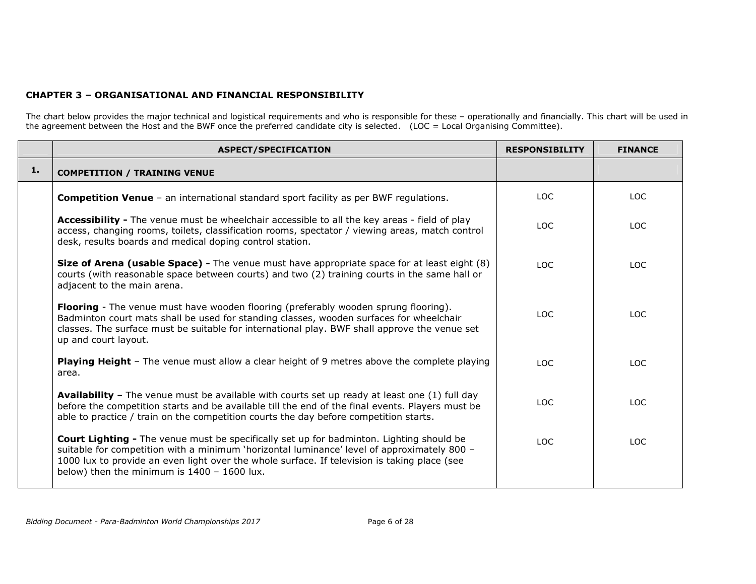## CHAPTER 3 – ORGANISATIONAL AND FINANCIAL RESPONSIBILITY

The chart below provides the major technical and logistical requirements and who is responsible for these – operationally and financially. This chart will be used in<br>the agreement between the Host and the BWF once the pref

|    | <b>ASPECT/SPECIFICATION</b>                                                                                                                                                                                                                                                                                                                     | <b>RESPONSIBILITY</b> | <b>FINANCE</b> |
|----|-------------------------------------------------------------------------------------------------------------------------------------------------------------------------------------------------------------------------------------------------------------------------------------------------------------------------------------------------|-----------------------|----------------|
| 1. | <b>COMPETITION / TRAINING VENUE</b>                                                                                                                                                                                                                                                                                                             |                       |                |
|    | <b>Competition Venue</b> - an international standard sport facility as per BWF regulations.                                                                                                                                                                                                                                                     | LOC.                  | LOC.           |
|    | <b>Accessibility -</b> The venue must be wheelchair accessible to all the key areas - field of play<br>access, changing rooms, toilets, classification rooms, spectator / viewing areas, match control<br>desk, results boards and medical doping control station.                                                                              | LOC.                  | LOC.           |
|    | Size of Arena (usable Space) - The venue must have appropriate space for at least eight (8)<br>courts (with reasonable space between courts) and two (2) training courts in the same hall or<br>adjacent to the main arena.                                                                                                                     | LOC.                  | LOC.           |
|    | Flooring - The venue must have wooden flooring (preferably wooden sprung flooring).<br>Badminton court mats shall be used for standing classes, wooden surfaces for wheelchair<br>classes. The surface must be suitable for international play. BWF shall approve the venue set<br>up and court layout.                                         | 10C                   | TOC.           |
|    | <b>Playing Height</b> - The venue must allow a clear height of 9 metres above the complete playing<br>area.                                                                                                                                                                                                                                     | LOC.                  | LOC.           |
|    | <b>Availability</b> - The venue must be available with courts set up ready at least one (1) full day<br>before the competition starts and be available till the end of the final events. Players must be<br>able to practice / train on the competition courts the day before competition starts.                                               | LOC.                  | LOC.           |
|    | <b>Court Lighting -</b> The venue must be specifically set up for badminton. Lighting should be<br>suitable for competition with a minimum 'horizontal luminance' level of approximately 800 -<br>1000 lux to provide an even light over the whole surface. If television is taking place (see<br>below) then the minimum is $1400 - 1600$ lux. | LOC.                  | LOC.           |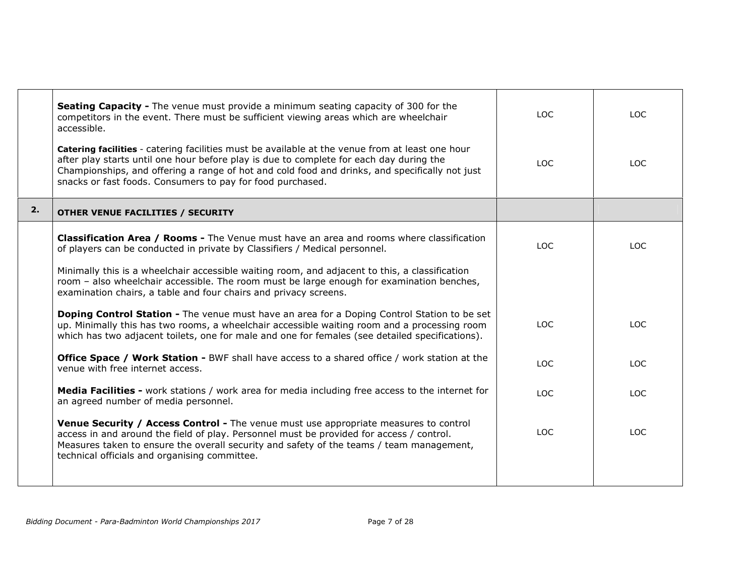|    | <b>Seating Capacity -</b> The venue must provide a minimum seating capacity of 300 for the<br>competitors in the event. There must be sufficient viewing areas which are wheelchair<br>accessible.                                                                                                                                                                | <b>LOC</b> | LOC        |
|----|-------------------------------------------------------------------------------------------------------------------------------------------------------------------------------------------------------------------------------------------------------------------------------------------------------------------------------------------------------------------|------------|------------|
|    | <b>Catering facilities</b> - catering facilities must be available at the venue from at least one hour<br>after play starts until one hour before play is due to complete for each day during the<br>Championships, and offering a range of hot and cold food and drinks, and specifically not just<br>snacks or fast foods. Consumers to pay for food purchased. | LOC.       | LOC        |
| 2. | OTHER VENUE FACILITIES / SECURITY                                                                                                                                                                                                                                                                                                                                 |            |            |
|    | <b>Classification Area / Rooms -</b> The Venue must have an area and rooms where classification<br>of players can be conducted in private by Classifiers / Medical personnel.                                                                                                                                                                                     | LOC.       | LOC.       |
|    | Minimally this is a wheelchair accessible waiting room, and adjacent to this, a classification<br>room - also wheelchair accessible. The room must be large enough for examination benches,<br>examination chairs, a table and four chairs and privacy screens.                                                                                                   |            |            |
|    | <b>Doping Control Station -</b> The venue must have an area for a Doping Control Station to be set<br>up. Minimally this has two rooms, a wheelchair accessible waiting room and a processing room<br>which has two adjacent toilets, one for male and one for females (see detailed specifications).                                                             | <b>LOC</b> | LOC        |
|    | <b>Office Space / Work Station - BWF shall have access to a shared office / work station at the</b><br>venue with free internet access.                                                                                                                                                                                                                           | LOC.       | <b>LOC</b> |
|    | <b>Media Facilities -</b> work stations / work area for media including free access to the internet for<br>an agreed number of media personnel.                                                                                                                                                                                                                   | LOC.       | LOC        |
|    | <b>Venue Security / Access Control -</b> The venue must use appropriate measures to control<br>access in and around the field of play. Personnel must be provided for access / control.<br>Measures taken to ensure the overall security and safety of the teams / team management,<br>technical officials and organising committee.                              | LOC.       | <b>LOC</b> |
|    |                                                                                                                                                                                                                                                                                                                                                                   |            |            |

Ξ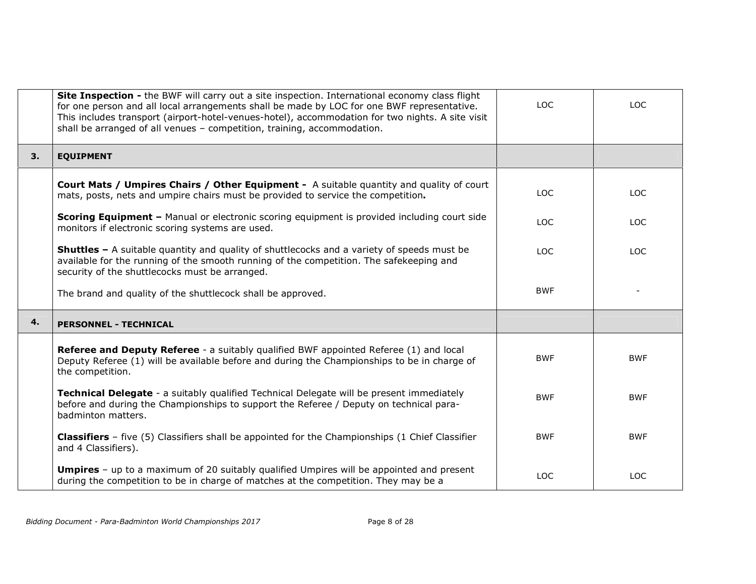|    | <b>Site Inspection -</b> the BWF will carry out a site inspection. International economy class flight<br>for one person and all local arrangements shall be made by LOC for one BWF representative.<br>This includes transport (airport-hotel-venues-hotel), accommodation for two nights. A site visit<br>shall be arranged of all venues - competition, training, accommodation. | LOC        | <b>LOC</b> |
|----|------------------------------------------------------------------------------------------------------------------------------------------------------------------------------------------------------------------------------------------------------------------------------------------------------------------------------------------------------------------------------------|------------|------------|
| 3. | <b>EQUIPMENT</b>                                                                                                                                                                                                                                                                                                                                                                   |            |            |
|    | <b>Court Mats / Umpires Chairs / Other Equipment -</b> A suitable quantity and quality of court<br>mats, posts, nets and umpire chairs must be provided to service the competition.                                                                                                                                                                                                | <b>LOC</b> | <b>LOC</b> |
|    | <b>Scoring Equipment - Manual or electronic scoring equipment is provided including court side</b><br>monitors if electronic scoring systems are used.                                                                                                                                                                                                                             | LOC.       | LOC.       |
|    | <b>Shuttles -</b> A suitable quantity and quality of shuttlecocks and a variety of speeds must be<br>available for the running of the smooth running of the competition. The safekeeping and<br>security of the shuttlecocks must be arranged.                                                                                                                                     | LOC.       | <b>LOC</b> |
|    | The brand and quality of the shuttlecock shall be approved.                                                                                                                                                                                                                                                                                                                        | <b>BWF</b> |            |
| 4. | <b>PERSONNEL - TECHNICAL</b>                                                                                                                                                                                                                                                                                                                                                       |            |            |
|    | <b>Referee and Deputy Referee</b> - a suitably qualified BWF appointed Referee (1) and local<br>Deputy Referee (1) will be available before and during the Championships to be in charge of<br>the competition.                                                                                                                                                                    | <b>BWF</b> | <b>BWF</b> |
|    | Technical Delegate - a suitably qualified Technical Delegate will be present immediately<br>before and during the Championships to support the Referee / Deputy on technical para-<br>badminton matters.                                                                                                                                                                           | <b>BWF</b> | <b>BWF</b> |
|    | <b>Classifiers</b> - five (5) Classifiers shall be appointed for the Championships (1 Chief Classifier<br>and 4 Classifiers).                                                                                                                                                                                                                                                      | <b>BWF</b> | <b>BWF</b> |
|    | <b>Umpires</b> - up to a maximum of 20 suitably qualified Umpires will be appointed and present<br>during the competition to be in charge of matches at the competition. They may be a                                                                                                                                                                                             | <b>LOC</b> | <b>LOC</b> |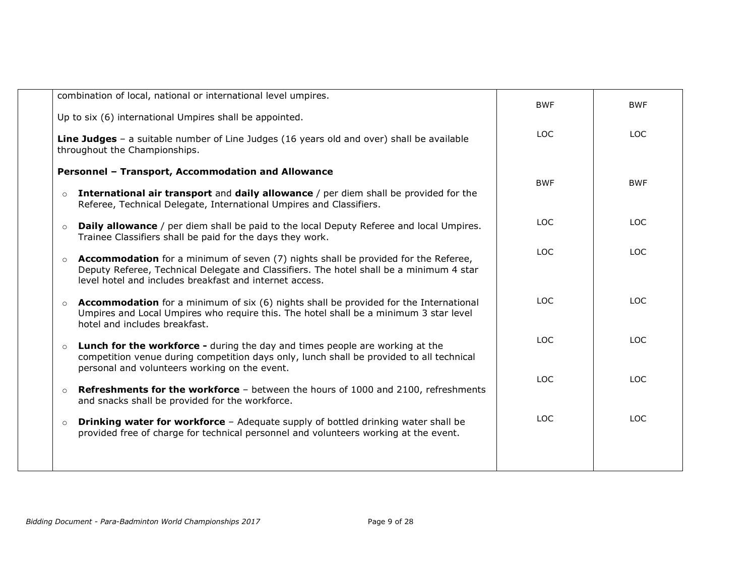|         | combination of local, national or international level umpires.                                                                                                                                                                                  | <b>BWF</b> | <b>BWF</b> |
|---------|-------------------------------------------------------------------------------------------------------------------------------------------------------------------------------------------------------------------------------------------------|------------|------------|
|         | Up to six (6) international Umpires shall be appointed.                                                                                                                                                                                         | LOC.       |            |
|         | Line Judges - a suitable number of Line Judges (16 years old and over) shall be available<br>throughout the Championships.                                                                                                                      |            | <b>LOC</b> |
|         | Personnel - Transport, Accommodation and Allowance                                                                                                                                                                                              | <b>BWF</b> | <b>BWF</b> |
| $\circ$ | International air transport and daily allowance / per diem shall be provided for the<br>Referee, Technical Delegate, International Umpires and Classifiers.                                                                                     |            |            |
| $\circ$ | <b>Daily allowance</b> / per diem shall be paid to the local Deputy Referee and local Umpires.<br>Trainee Classifiers shall be paid for the days they work.                                                                                     | <b>LOC</b> | <b>LOC</b> |
| $\circ$ | <b>Accommodation</b> for a minimum of seven (7) nights shall be provided for the Referee,<br>Deputy Referee, Technical Delegate and Classifiers. The hotel shall be a minimum 4 star<br>level hotel and includes breakfast and internet access. | <b>LOC</b> | <b>LOC</b> |
| $\circ$ | <b>Accommodation</b> for a minimum of six (6) nights shall be provided for the International<br>Umpires and Local Umpires who require this. The hotel shall be a minimum 3 star level<br>hotel and includes breakfast.                          | <b>LOC</b> | <b>LOC</b> |
| $\circ$ | <b>Lunch for the workforce -</b> during the day and times people are working at the<br>competition venue during competition days only, lunch shall be provided to all technical<br>personal and volunteers working on the event.                | <b>LOC</b> | <b>LOC</b> |
| $\circ$ | <b>Refreshments for the workforce</b> - between the hours of 1000 and 2100, refreshments<br>and snacks shall be provided for the workforce.                                                                                                     | <b>LOC</b> | <b>LOC</b> |
| $\circ$ | Drinking water for workforce - Adequate supply of bottled drinking water shall be<br>provided free of charge for technical personnel and volunteers working at the event.                                                                       | <b>LOC</b> | <b>LOC</b> |
|         |                                                                                                                                                                                                                                                 |            |            |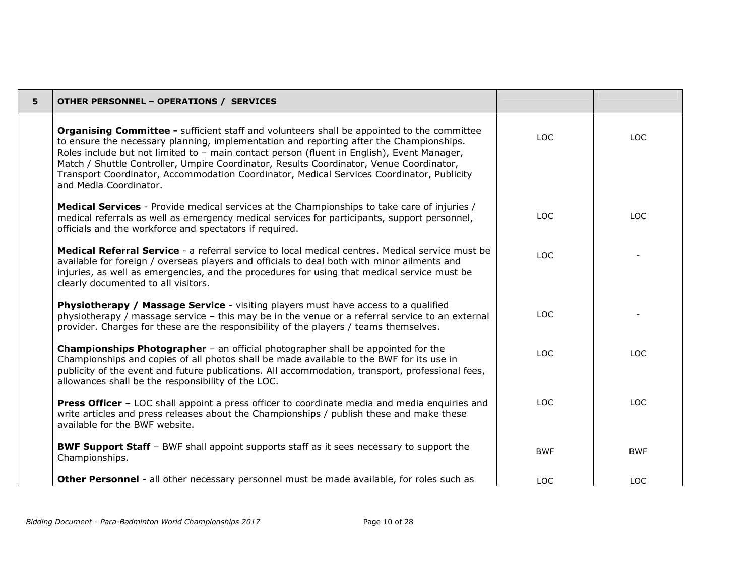| 5 | <b>OTHER PERSONNEL - OPERATIONS / SERVICES</b>                                                                                                                                                                                                                                                                                                                                                                                                                                                               |            |            |
|---|--------------------------------------------------------------------------------------------------------------------------------------------------------------------------------------------------------------------------------------------------------------------------------------------------------------------------------------------------------------------------------------------------------------------------------------------------------------------------------------------------------------|------------|------------|
|   | <b>Organising Committee -</b> sufficient staff and volunteers shall be appointed to the committee<br>to ensure the necessary planning, implementation and reporting after the Championships.<br>Roles include but not limited to - main contact person (fluent in English), Event Manager,<br>Match / Shuttle Controller, Umpire Coordinator, Results Coordinator, Venue Coordinator,<br>Transport Coordinator, Accommodation Coordinator, Medical Services Coordinator, Publicity<br>and Media Coordinator. | LOC        | LOC.       |
|   | Medical Services - Provide medical services at the Championships to take care of injuries /<br>medical referrals as well as emergency medical services for participants, support personnel,<br>officials and the workforce and spectators if required.                                                                                                                                                                                                                                                       | <b>LOC</b> | <b>LOC</b> |
|   | Medical Referral Service - a referral service to local medical centres. Medical service must be<br>available for foreign / overseas players and officials to deal both with minor ailments and<br>injuries, as well as emergencies, and the procedures for using that medical service must be<br>clearly documented to all visitors.                                                                                                                                                                         | <b>LOC</b> |            |
|   | <b>Physiotherapy / Massage Service</b> - visiting players must have access to a qualified<br>physiotherapy / massage service - this may be in the venue or a referral service to an external<br>provider. Charges for these are the responsibility of the players / teams themselves.                                                                                                                                                                                                                        | <b>LOC</b> |            |
|   | <b>Championships Photographer</b> - an official photographer shall be appointed for the<br>Championships and copies of all photos shall be made available to the BWF for its use in<br>publicity of the event and future publications. All accommodation, transport, professional fees,<br>allowances shall be the responsibility of the LOC.                                                                                                                                                                | LOC.       | LOC.       |
|   | <b>Press Officer</b> - LOC shall appoint a press officer to coordinate media and media enquiries and<br>write articles and press releases about the Championships / publish these and make these<br>available for the BWF website.                                                                                                                                                                                                                                                                           | <b>LOC</b> | <b>LOC</b> |
|   | <b>BWF Support Staff</b> - BWF shall appoint supports staff as it sees necessary to support the<br>Championships.                                                                                                                                                                                                                                                                                                                                                                                            | <b>BWF</b> | <b>BWF</b> |
|   | Other Personnel - all other necessary personnel must be made available, for roles such as                                                                                                                                                                                                                                                                                                                                                                                                                    | <b>LOC</b> | <b>LOC</b> |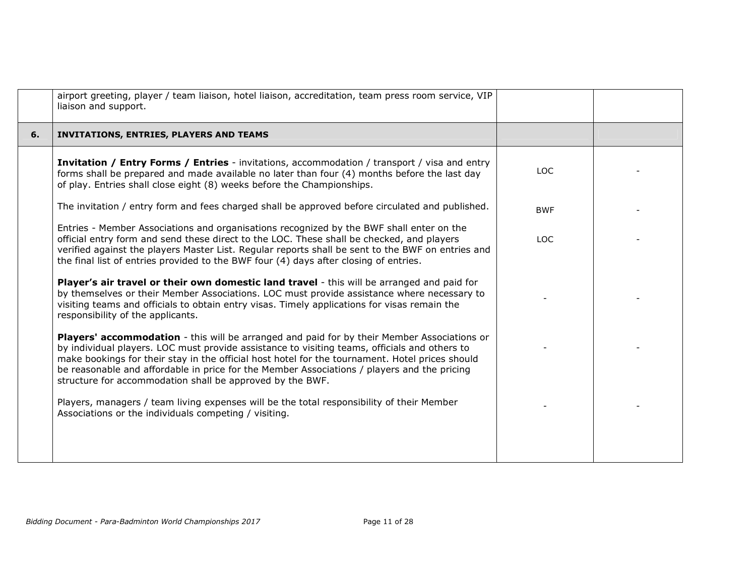|    | airport greeting, player / team liaison, hotel liaison, accreditation, team press room service, VIP<br>liaison and support.                                                                                                                                                                                                                                                                                                                                 |            |  |
|----|-------------------------------------------------------------------------------------------------------------------------------------------------------------------------------------------------------------------------------------------------------------------------------------------------------------------------------------------------------------------------------------------------------------------------------------------------------------|------------|--|
| 6. | <b>INVITATIONS, ENTRIES, PLAYERS AND TEAMS</b>                                                                                                                                                                                                                                                                                                                                                                                                              |            |  |
|    | <b>Invitation / Entry Forms / Entries</b> - invitations, accommodation / transport / visa and entry<br>forms shall be prepared and made available no later than four (4) months before the last day<br>of play. Entries shall close eight (8) weeks before the Championships.                                                                                                                                                                               | LOC        |  |
|    | The invitation / entry form and fees charged shall be approved before circulated and published.                                                                                                                                                                                                                                                                                                                                                             | <b>BWF</b> |  |
|    | Entries - Member Associations and organisations recognized by the BWF shall enter on the<br>official entry form and send these direct to the LOC. These shall be checked, and players<br>verified against the players Master List. Regular reports shall be sent to the BWF on entries and<br>the final list of entries provided to the BWF four (4) days after closing of entries.                                                                         | LOC.       |  |
|    | Player's air travel or their own domestic land travel - this will be arranged and paid for<br>by themselves or their Member Associations. LOC must provide assistance where necessary to<br>visiting teams and officials to obtain entry visas. Timely applications for visas remain the<br>responsibility of the applicants.                                                                                                                               |            |  |
|    | Players' accommodation - this will be arranged and paid for by their Member Associations or<br>by individual players. LOC must provide assistance to visiting teams, officials and others to<br>make bookings for their stay in the official host hotel for the tournament. Hotel prices should<br>be reasonable and affordable in price for the Member Associations / players and the pricing<br>structure for accommodation shall be approved by the BWF. |            |  |
|    | Players, managers / team living expenses will be the total responsibility of their Member<br>Associations or the individuals competing / visiting.                                                                                                                                                                                                                                                                                                          |            |  |
|    |                                                                                                                                                                                                                                                                                                                                                                                                                                                             |            |  |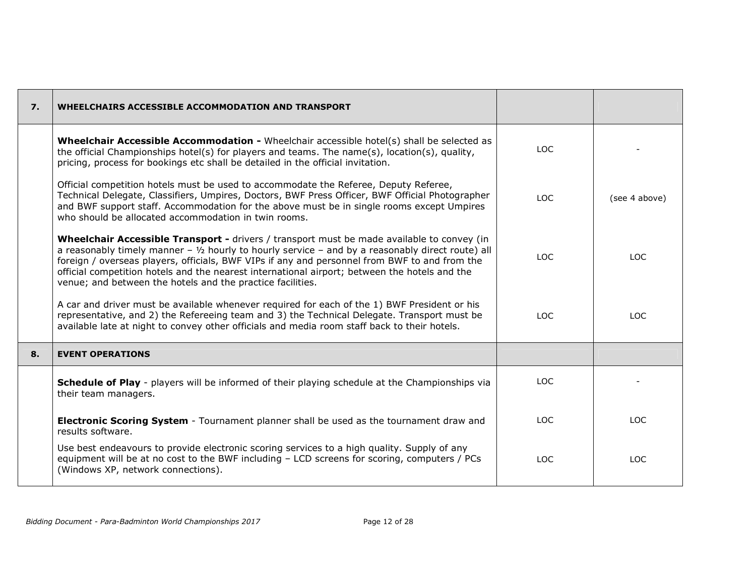| $\overline{7}$ . | <b>WHEELCHAIRS ACCESSIBLE ACCOMMODATION AND TRANSPORT</b>                                                                                                                                                                                                                                                                                                                                                                                                                 |      |               |
|------------------|---------------------------------------------------------------------------------------------------------------------------------------------------------------------------------------------------------------------------------------------------------------------------------------------------------------------------------------------------------------------------------------------------------------------------------------------------------------------------|------|---------------|
|                  | <b>Wheelchair Accessible Accommodation -</b> Wheelchair accessible hotel(s) shall be selected as<br>the official Championships hotel(s) for players and teams. The name(s), location(s), quality,<br>pricing, process for bookings etc shall be detailed in the official invitation.                                                                                                                                                                                      | LOC  |               |
|                  | Official competition hotels must be used to accommodate the Referee, Deputy Referee,<br>Technical Delegate, Classifiers, Umpires, Doctors, BWF Press Officer, BWF Official Photographer<br>and BWF support staff. Accommodation for the above must be in single rooms except Umpires<br>who should be allocated accommodation in twin rooms.                                                                                                                              | LOC. | (see 4 above) |
|                  | Wheelchair Accessible Transport - drivers / transport must be made available to convey (in<br>a reasonably timely manner - $\frac{1}{2}$ hourly to hourly service - and by a reasonably direct route) all<br>foreign / overseas players, officials, BWF VIPs if any and personnel from BWF to and from the<br>official competition hotels and the nearest international airport; between the hotels and the<br>venue; and between the hotels and the practice facilities. | LOC. | TOC.          |
|                  | A car and driver must be available whenever required for each of the 1) BWF President or his<br>representative, and 2) the Refereeing team and 3) the Technical Delegate. Transport must be<br>available late at night to convey other officials and media room staff back to their hotels.                                                                                                                                                                               | LOC. | <b>LOC</b>    |
| 8.               | <b>EVENT OPERATIONS</b>                                                                                                                                                                                                                                                                                                                                                                                                                                                   |      |               |
|                  | <b>Schedule of Play</b> - players will be informed of their playing schedule at the Championships via<br>their team managers.                                                                                                                                                                                                                                                                                                                                             | LOC. |               |
|                  | <b>Electronic Scoring System</b> - Tournament planner shall be used as the tournament draw and<br>results software.                                                                                                                                                                                                                                                                                                                                                       | LOC. | <b>LOC</b>    |
|                  | Use best endeavours to provide electronic scoring services to a high quality. Supply of any<br>equipment will be at no cost to the BWF including - LCD screens for scoring, computers / PCs<br>(Windows XP, network connections).                                                                                                                                                                                                                                         | LOC. | <b>LOC</b>    |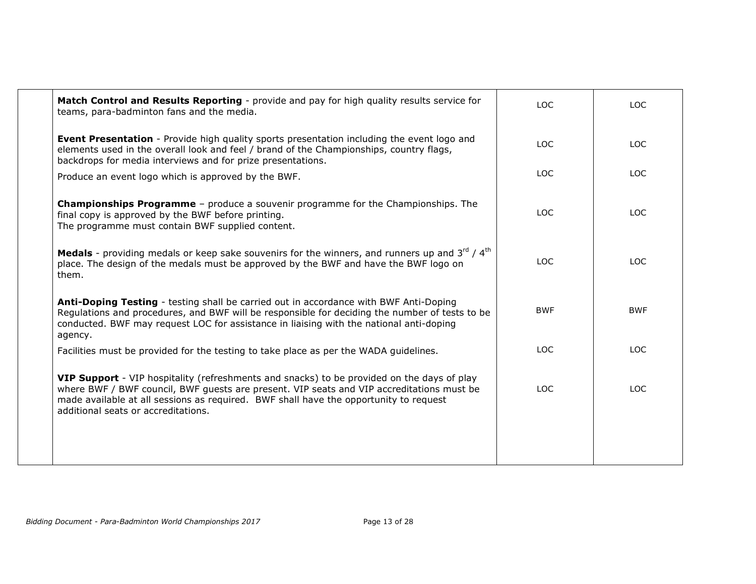| Match Control and Results Reporting - provide and pay for high quality results service for<br>teams, para-badminton fans and the media.                                                                                                                                                                                 | <b>LOC</b> | <b>LOC</b> |
|-------------------------------------------------------------------------------------------------------------------------------------------------------------------------------------------------------------------------------------------------------------------------------------------------------------------------|------------|------------|
| <b>Event Presentation</b> - Provide high quality sports presentation including the event logo and<br>elements used in the overall look and feel / brand of the Championships, country flags,<br>backdrops for media interviews and for prize presentations.                                                             | <b>LOC</b> | <b>LOC</b> |
| Produce an event logo which is approved by the BWF.                                                                                                                                                                                                                                                                     | <b>LOC</b> | <b>LOC</b> |
| <b>Championships Programme</b> - produce a souvenir programme for the Championships. The<br>final copy is approved by the BWF before printing.<br>The programme must contain BWF supplied content.                                                                                                                      | <b>LOC</b> | <b>LOC</b> |
| <b>Medals</b> - providing medals or keep sake souvenirs for the winners, and runners up and $3^{rd} / 4^{th}$<br>place. The design of the medals must be approved by the BWF and have the BWF logo on<br>them.                                                                                                          | <b>LOC</b> | <b>LOC</b> |
| Anti-Doping Testing - testing shall be carried out in accordance with BWF Anti-Doping<br>Regulations and procedures, and BWF will be responsible for deciding the number of tests to be<br>conducted. BWF may request LOC for assistance in liaising with the national anti-doping<br>agency.                           | <b>BWF</b> | <b>BWF</b> |
| Facilities must be provided for the testing to take place as per the WADA guidelines.                                                                                                                                                                                                                                   | <b>LOC</b> | <b>LOC</b> |
| VIP Support - VIP hospitality (refreshments and snacks) to be provided on the days of play<br>where BWF / BWF council, BWF guests are present. VIP seats and VIP accreditations must be<br>made available at all sessions as required. BWF shall have the opportunity to request<br>additional seats or accreditations. | <b>LOC</b> | <b>LOC</b> |
|                                                                                                                                                                                                                                                                                                                         |            |            |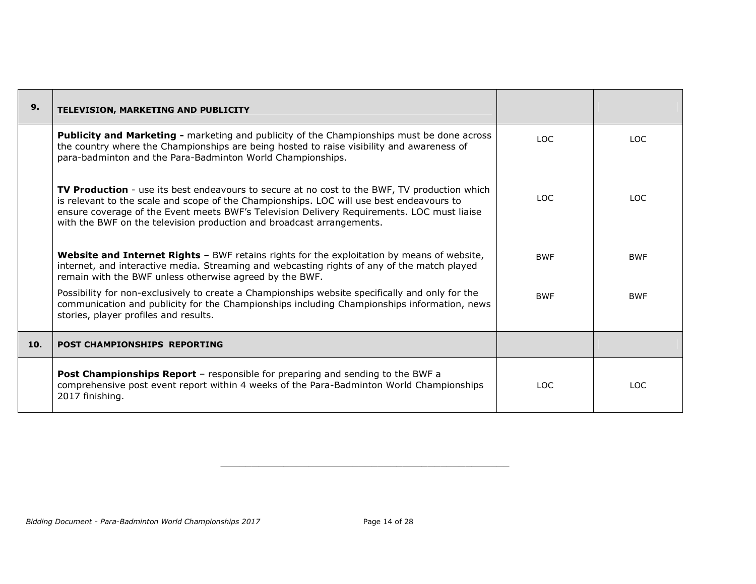| 9.  | TELEVISION, MARKETING AND PUBLICITY                                                                                                                                                                                                                                                                                                                             |            |            |
|-----|-----------------------------------------------------------------------------------------------------------------------------------------------------------------------------------------------------------------------------------------------------------------------------------------------------------------------------------------------------------------|------------|------------|
|     | <b>Publicity and Marketing -</b> marketing and publicity of the Championships must be done across<br>the country where the Championships are being hosted to raise visibility and awareness of<br>para-badminton and the Para-Badminton World Championships.                                                                                                    | LOC.       | LOC.       |
|     | TV Production - use its best endeavours to secure at no cost to the BWF, TV production which<br>is relevant to the scale and scope of the Championships. LOC will use best endeavours to<br>ensure coverage of the Event meets BWF's Television Delivery Requirements. LOC must liaise<br>with the BWF on the television production and broadcast arrangements. | TOC.       | TOC.       |
|     | Website and Internet Rights - BWF retains rights for the exploitation by means of website,<br>internet, and interactive media. Streaming and webcasting rights of any of the match played<br>remain with the BWF unless otherwise agreed by the BWF.                                                                                                            | <b>BWF</b> | <b>BWF</b> |
|     | Possibility for non-exclusively to create a Championships website specifically and only for the<br>communication and publicity for the Championships including Championships information, news<br>stories, player profiles and results.                                                                                                                         | <b>BWF</b> | <b>BWF</b> |
| 10. | <b>POST CHAMPIONSHIPS REPORTING</b>                                                                                                                                                                                                                                                                                                                             |            |            |
|     | <b>Post Championships Report</b> - responsible for preparing and sending to the BWF a<br>comprehensive post event report within 4 weeks of the Para-Badminton World Championships<br>2017 finishing.                                                                                                                                                            | LOC.       | LOC.       |

 $\qquad \qquad \qquad -$  . The contribution of the contribution of the contribution of the contribution of the contribution of the contribution of the contribution of the contribution of the contribution of the contribution of the co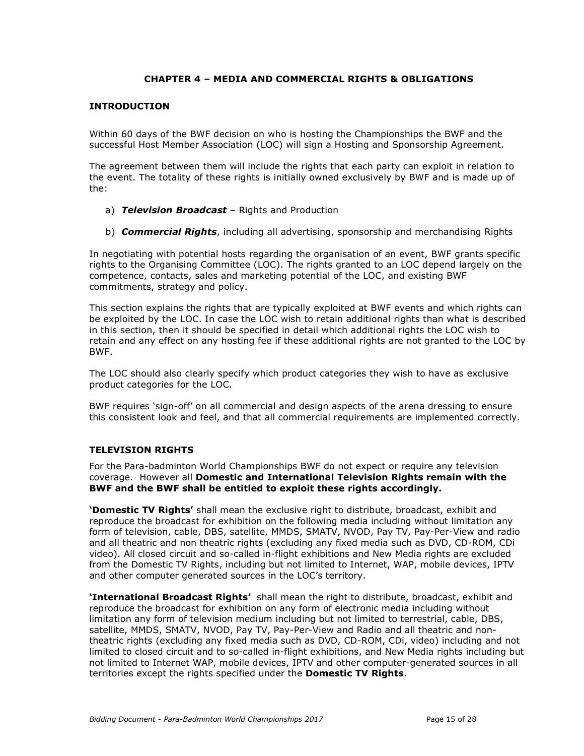## CHAPTER 4 – MEDIA AND COMMERCIAL RIGHTS & OBLIGATIONS

#### INTRODUCTION

Within 60 days of the BWF decision on who is hosting the Championships the BWF and the successful Host Member Association (LOC) will sign a Hosting and Sponsorship Agreement.

The agreement between them will include the rights that each party can exploit in relation to the event. The totality of these rights is initially owned exclusively by BWF and is made up of the:

- a) Television Broadcast Rights and Production
- b) **Commercial Rights**, including all advertising, sponsorship and merchandising Rights

In negotiating with potential hosts regarding the organisation of an event, BWF grants specific rights to the Organising Committee (LOC). The rights granted to an LOC depend largely on the competence, contacts, sales and marketing potential of the LOC, and existing BWF commitments, strategy and policy.

This section explains the rights that are typically exploited at BWF events and which rights can be exploited by the LOC. In case the LOC wish to retain additional rights than what is described in this section, then it should be specified in detail which additional rights the LOC wish to retain and any effect on any hosting fee if these additional rights are not granted to the LOC by BWF.

The LOC should also clearly specify which product categories they wish to have as exclusive product categories for the LOC.

BWF requires 'sign-off' on all commercial and design aspects of the arena dressing to ensure this consistent look and feel, and that all commercial requirements are implemented correctly.

#### TELEVISION RIGHTS

For the Para-badminton World Championships BWF do not expect or require any television coverage. However all Domestic and International Television Rights remain with the BWF and the BWF shall be entitled to exploit these rights accordingly.

'Domestic TV Rights' shall mean the exclusive right to distribute, broadcast, exhibit and reproduce the broadcast for exhibition on the following media including without limitation any form of television, cable, DBS, satellite, MMDS, SMATV, NVOD, Pay TV, Pay-Per-View and radio and all theatric and non theatric rights (excluding any fixed media such as DVD, CD-ROM, CDi video). All closed circuit and so-called in-flight exhibitions and New Media rights are excluded from the Domestic TV Rights, including but not limited to Internet, WAP, mobile devices, IPTV and other computer generated sources in the LOC's territory.

**'International Broadcast Rights'** shall mean the right to distribute, broadcast, exhibit and reproduce the broadcast for exhibition on any form of electronic media including without limitation any form of television medium including but not limited to terrestrial, cable, DBS, satellite, MMDS, SMATV, NVOD, Pay TV, Pay-Per-View and Radio and all theatric and nontheatric rights (excluding any fixed media such as DVD, CD-ROM, CDi, video) including and not limited to closed circuit and to so-called in-flight exhibitions, and New Media rights including but not limited to Internet WAP, mobile devices, IPTV and other computer-generated sources in all territories except the rights specified under the **Domestic TV Rights**.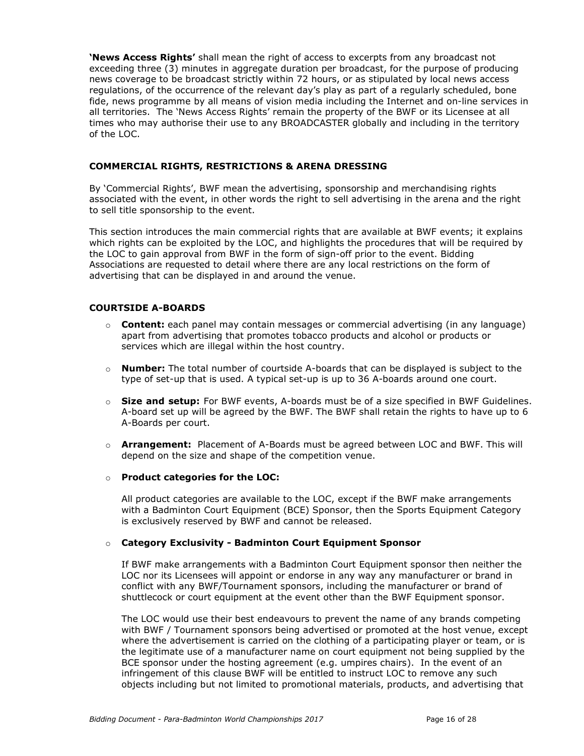'News Access Rights' shall mean the right of access to excerpts from any broadcast not exceeding three (3) minutes in aggregate duration per broadcast, for the purpose of producing news coverage to be broadcast strictly within 72 hours, or as stipulated by local news access regulations, of the occurrence of the relevant day's play as part of a regularly scheduled, bone fide, news programme by all means of vision media including the Internet and on-line services in all territories. The 'News Access Rights' remain the property of the BWF or its Licensee at all times who may authorise their use to any BROADCASTER globally and including in the territory of the LOC.

#### COMMERCIAL RIGHTS, RESTRICTIONS & ARENA DRESSING

By 'Commercial Rights', BWF mean the advertising, sponsorship and merchandising rights associated with the event, in other words the right to sell advertising in the arena and the right to sell title sponsorship to the event.

This section introduces the main commercial rights that are available at BWF events; it explains which rights can be exploited by the LOC, and highlights the procedures that will be required by the LOC to gain approval from BWF in the form of sign-off prior to the event. Bidding Associations are requested to detail where there are any local restrictions on the form of advertising that can be displayed in and around the venue.

### COURTSIDE A-BOARDS

- $\circ$  **Content:** each panel may contain messages or commercial advertising (in any language) apart from advertising that promotes tobacco products and alcohol or products or services which are illegal within the host country.
- $\circ$  **Number:** The total number of courtside A-boards that can be displayed is subject to the type of set-up that is used. A typical set-up is up to 36 A-boards around one court.
- $\circ$  Size and setup: For BWF events, A-boards must be of a size specified in BWF Guidelines. A-board set up will be agreed by the BWF. The BWF shall retain the rights to have up to 6 A-Boards per court.
- $\circ$  **Arrangement:** Placement of A-Boards must be agreed between LOC and BWF. This will depend on the size and shape of the competition venue.
- o Product categories for the LOC:

All product categories are available to the LOC, except if the BWF make arrangements with a Badminton Court Equipment (BCE) Sponsor, then the Sports Equipment Category is exclusively reserved by BWF and cannot be released.

#### o Category Exclusivity - Badminton Court Equipment Sponsor

If BWF make arrangements with a Badminton Court Equipment sponsor then neither the LOC nor its Licensees will appoint or endorse in any way any manufacturer or brand in conflict with any BWF/Tournament sponsors, including the manufacturer or brand of shuttlecock or court equipment at the event other than the BWF Equipment sponsor.

The LOC would use their best endeavours to prevent the name of any brands competing with BWF / Tournament sponsors being advertised or promoted at the host venue, except where the advertisement is carried on the clothing of a participating player or team, or is the legitimate use of a manufacturer name on court equipment not being supplied by the BCE sponsor under the hosting agreement (e.g. umpires chairs). In the event of an infringement of this clause BWF will be entitled to instruct LOC to remove any such objects including but not limited to promotional materials, products, and advertising that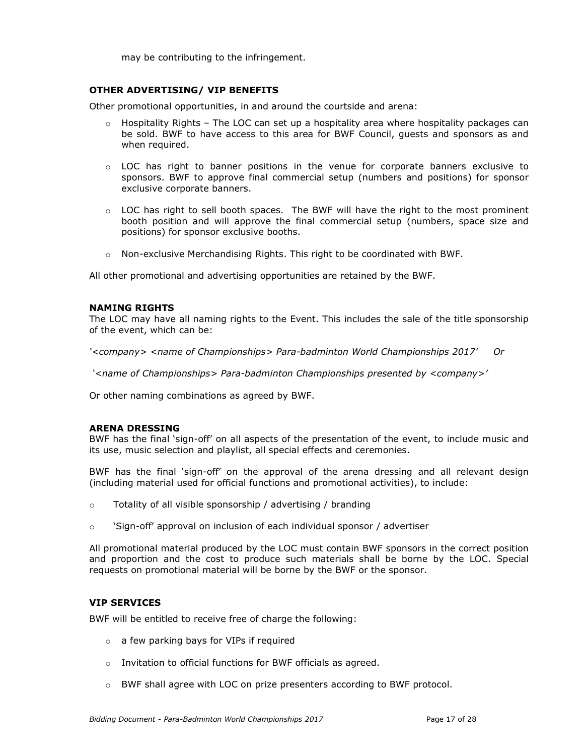may be contributing to the infringement.

#### OTHER ADVERTISING/ VIP BENEFITS

Other promotional opportunities, in and around the courtside and arena:

- $\circ$  Hospitality Rights The LOC can set up a hospitality area where hospitality packages can be sold. BWF to have access to this area for BWF Council, guests and sponsors as and when required.
- $\circ$  LOC has right to banner positions in the venue for corporate banners exclusive to sponsors. BWF to approve final commercial setup (numbers and positions) for sponsor exclusive corporate banners.
- o LOC has right to sell booth spaces. The BWF will have the right to the most prominent booth position and will approve the final commercial setup (numbers, space size and positions) for sponsor exclusive booths.
- $\circ$  Non-exclusive Merchandising Rights. This right to be coordinated with BWF.

All other promotional and advertising opportunities are retained by the BWF.

#### NAMING RIGHTS

The LOC may have all naming rights to the Event. This includes the sale of the title sponsorship of the event, which can be:

'<company> <name of Championships> Para-badminton World Championships 2017' Or

'<name of Championships> Para-badminton Championships presented by <company>'

Or other naming combinations as agreed by BWF.

#### ARENA DRESSING

BWF has the final 'sign-off' on all aspects of the presentation of the event, to include music and its use, music selection and playlist, all special effects and ceremonies.

BWF has the final 'sign-off' on the approval of the arena dressing and all relevant design (including material used for official functions and promotional activities), to include:

- o Totality of all visible sponsorship / advertising / branding
- $\circ$  'Sign-off' approval on inclusion of each individual sponsor / advertiser

All promotional material produced by the LOC must contain BWF sponsors in the correct position and proportion and the cost to produce such materials shall be borne by the LOC. Special requests on promotional material will be borne by the BWF or the sponsor.

#### VIP SERVICES

BWF will be entitled to receive free of charge the following:

- o a few parking bays for VIPs if required
- o Invitation to official functions for BWF officials as agreed.
- $\circ$  BWF shall agree with LOC on prize presenters according to BWF protocol.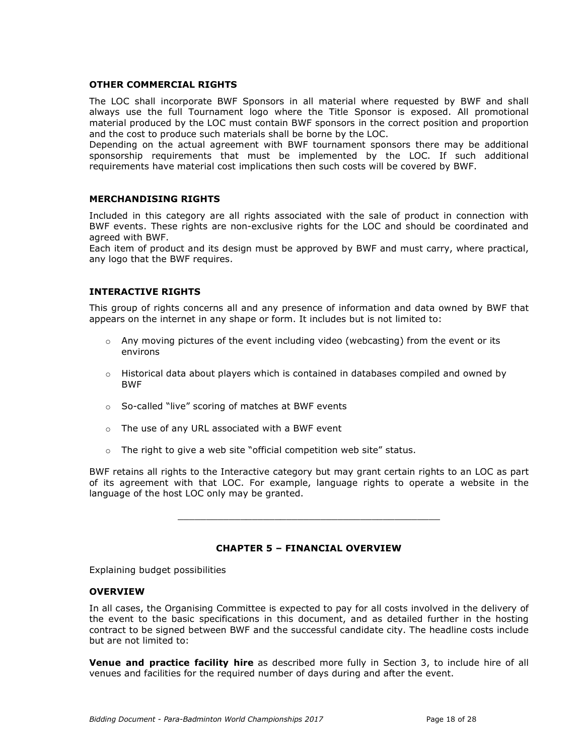#### OTHER COMMERCIAL RIGHTS

The LOC shall incorporate BWF Sponsors in all material where requested by BWF and shall always use the full Tournament logo where the Title Sponsor is exposed. All promotional material produced by the LOC must contain BWF sponsors in the correct position and proportion and the cost to produce such materials shall be borne by the LOC.

Depending on the actual agreement with BWF tournament sponsors there may be additional sponsorship requirements that must be implemented by the LOC. If such additional requirements have material cost implications then such costs will be covered by BWF.

#### MERCHANDISING RIGHTS

Included in this category are all rights associated with the sale of product in connection with BWF events. These rights are non-exclusive rights for the LOC and should be coordinated and agreed with BWF.

Each item of product and its design must be approved by BWF and must carry, where practical, any logo that the BWF requires.

#### INTERACTIVE RIGHTS

This group of rights concerns all and any presence of information and data owned by BWF that appears on the internet in any shape or form. It includes but is not limited to:

- $\circ$  Any moving pictures of the event including video (webcasting) from the event or its environs
- $\circ$  Historical data about players which is contained in databases compiled and owned by BWF
- o So-called "live" scoring of matches at BWF events
- o The use of any URL associated with a BWF event
- $\circ$  The right to give a web site "official competition web site" status.

BWF retains all rights to the Interactive category but may grant certain rights to an LOC as part of its agreement with that LOC. For example, language rights to operate a website in the language of the host LOC only may be granted.

\_\_\_\_\_\_\_\_\_\_\_\_\_\_\_\_\_\_\_\_\_\_\_\_\_\_\_\_\_\_\_\_\_\_\_\_\_\_\_\_\_\_\_\_\_\_

#### CHAPTER 5 – FINANCIAL OVERVIEW

Explaining budget possibilities

#### **OVERVIEW**

In all cases, the Organising Committee is expected to pay for all costs involved in the delivery of the event to the basic specifications in this document, and as detailed further in the hosting contract to be signed between BWF and the successful candidate city. The headline costs include but are not limited to:

**Venue and practice facility hire** as described more fully in Section 3, to include hire of all venues and facilities for the required number of days during and after the event.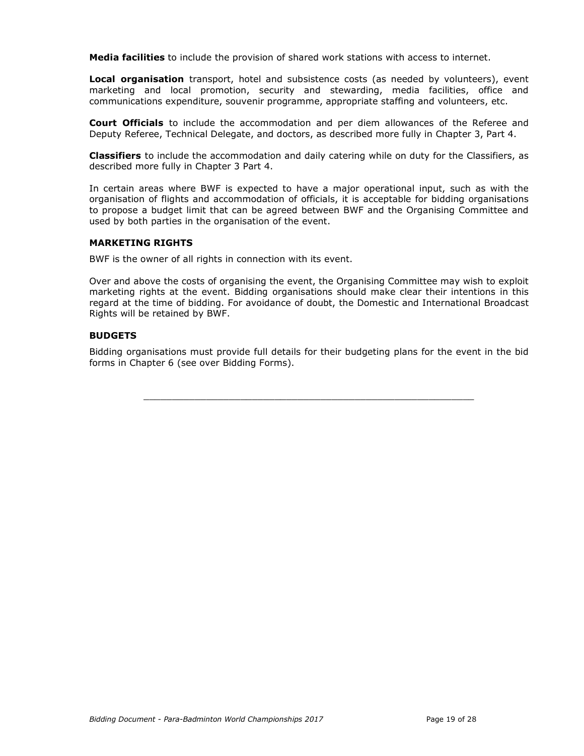Media facilities to include the provision of shared work stations with access to internet.

Local organisation transport, hotel and subsistence costs (as needed by volunteers), event marketing and local promotion, security and stewarding, media facilities, office and communications expenditure, souvenir programme, appropriate staffing and volunteers, etc.

Court Officials to include the accommodation and per diem allowances of the Referee and Deputy Referee, Technical Delegate, and doctors, as described more fully in Chapter 3, Part 4.

**Classifiers** to include the accommodation and daily catering while on duty for the Classifiers, as described more fully in Chapter 3 Part 4.

In certain areas where BWF is expected to have a major operational input, such as with the organisation of flights and accommodation of officials, it is acceptable for bidding organisations to propose a budget limit that can be agreed between BWF and the Organising Committee and used by both parties in the organisation of the event.

#### MARKETING RIGHTS

BWF is the owner of all rights in connection with its event.

Over and above the costs of organising the event, the Organising Committee may wish to exploit marketing rights at the event. Bidding organisations should make clear their intentions in this regard at the time of bidding. For avoidance of doubt, the Domestic and International Broadcast Rights will be retained by BWF.

#### **BUDGETS**

Bidding organisations must provide full details for their budgeting plans for the event in the bid forms in Chapter 6 (see over Bidding Forms).

\_\_\_\_\_\_\_\_\_\_\_\_\_\_\_\_\_\_\_\_\_\_\_\_\_\_\_\_\_\_\_\_\_\_\_\_\_\_\_\_\_\_\_\_\_\_\_\_\_\_\_\_\_\_\_\_\_\_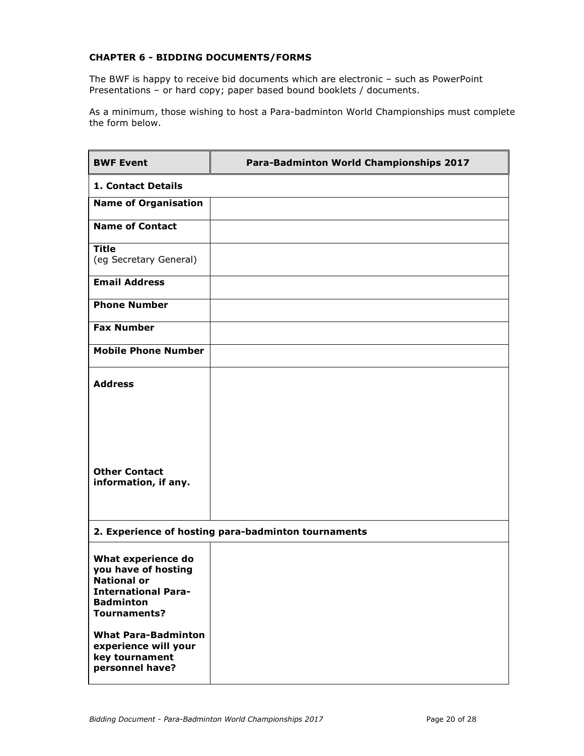## CHAPTER 6 - BIDDING DOCUMENTS/FORMS

The BWF is happy to receive bid documents which are electronic – such as PowerPoint Presentations – or hard copy; paper based bound booklets / documents.

As a minimum, those wishing to host a Para-badminton World Championships must complete the form below.

| <b>BWF Event</b>                                                                                                                         | Para-Badminton World Championships 2017             |
|------------------------------------------------------------------------------------------------------------------------------------------|-----------------------------------------------------|
| <b>1. Contact Details</b>                                                                                                                |                                                     |
| <b>Name of Organisation</b>                                                                                                              |                                                     |
| <b>Name of Contact</b>                                                                                                                   |                                                     |
| <b>Title</b><br>(eg Secretary General)                                                                                                   |                                                     |
| <b>Email Address</b>                                                                                                                     |                                                     |
| <b>Phone Number</b>                                                                                                                      |                                                     |
| <b>Fax Number</b>                                                                                                                        |                                                     |
| <b>Mobile Phone Number</b>                                                                                                               |                                                     |
| <b>Address</b>                                                                                                                           |                                                     |
| <b>Other Contact</b><br>information, if any.                                                                                             |                                                     |
|                                                                                                                                          | 2. Experience of hosting para-badminton tournaments |
| What experience do<br>you have of hosting<br><b>National or</b><br><b>International Para-</b><br><b>Badminton</b><br><b>Tournaments?</b> |                                                     |
| <b>What Para-Badminton</b><br>experience will your<br>key tournament<br>personnel have?                                                  |                                                     |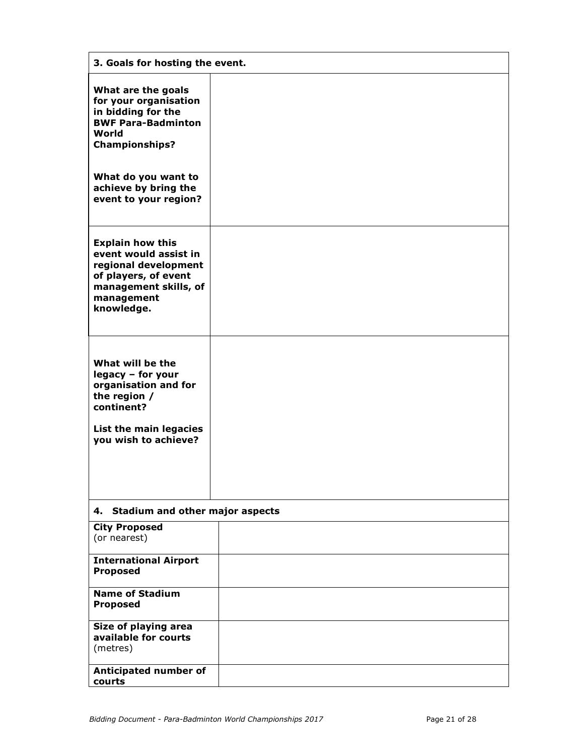| 3. Goals for hosting the event.                                                                                                                       |  |  |
|-------------------------------------------------------------------------------------------------------------------------------------------------------|--|--|
| What are the goals<br>for your organisation<br>in bidding for the<br><b>BWF Para-Badminton</b><br>World<br><b>Championships?</b>                      |  |  |
| What do you want to<br>achieve by bring the<br>event to your region?                                                                                  |  |  |
| <b>Explain how this</b><br>event would assist in<br>regional development<br>of players, of event<br>management skills, of<br>management<br>knowledge. |  |  |
| What will be the<br>legacy - for your<br>organisation and for<br>the region /<br>continent?<br>List the main legacies<br>you wish to achieve?         |  |  |
| 4. Stadium and other major aspects                                                                                                                    |  |  |
| <b>City Proposed</b><br>(or nearest)                                                                                                                  |  |  |
| <b>International Airport</b><br><b>Proposed</b>                                                                                                       |  |  |
| <b>Name of Stadium</b><br><b>Proposed</b>                                                                                                             |  |  |
| Size of playing area<br>available for courts<br>(metres)                                                                                              |  |  |
| Anticipated number of<br>courts                                                                                                                       |  |  |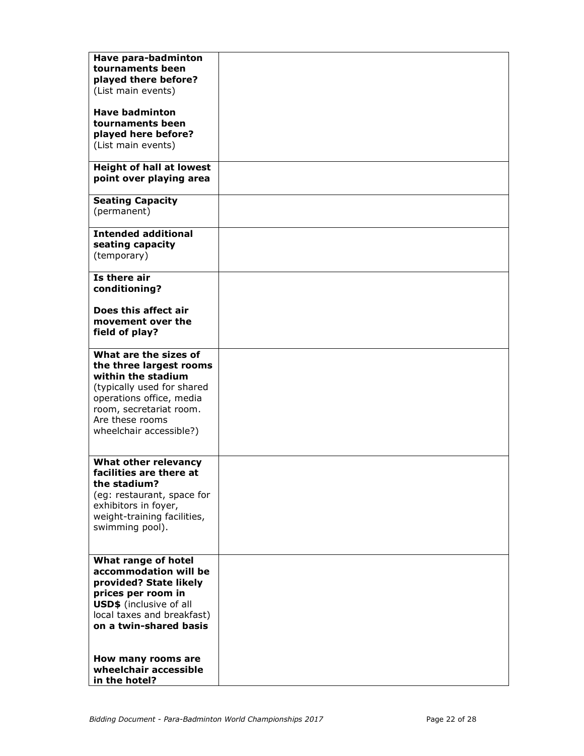| Have para-badminton<br>tournaments been<br>played there before?<br>(List main events)                                                                                                                     |  |
|-----------------------------------------------------------------------------------------------------------------------------------------------------------------------------------------------------------|--|
| <b>Have badminton</b><br>tournaments been<br>played here before?<br>(List main events)                                                                                                                    |  |
| <b>Height of hall at lowest</b><br>point over playing area                                                                                                                                                |  |
| <b>Seating Capacity</b><br>(permanent)                                                                                                                                                                    |  |
| <b>Intended additional</b><br>seating capacity<br>(temporary)                                                                                                                                             |  |
| Is there air<br>conditioning?                                                                                                                                                                             |  |
| Does this affect air<br>movement over the<br>field of play?                                                                                                                                               |  |
| What are the sizes of<br>the three largest rooms<br>within the stadium<br>(typically used for shared<br>operations office, media<br>room, secretariat room.<br>Are these rooms<br>wheelchair accessible?) |  |
| What other relevancy<br>facilities are there at<br>the stadium?<br>(eg: restaurant, space for<br>exhibitors in foyer,<br>weight-training facilities,<br>swimming pool).                                   |  |
| What range of hotel<br>accommodation will be<br>provided? State likely<br>prices per room in<br><b>USD\$</b> (inclusive of all<br>local taxes and breakfast)<br>on a twin-shared basis                    |  |
| How many rooms are<br>wheelchair accessible<br>in the hotel?                                                                                                                                              |  |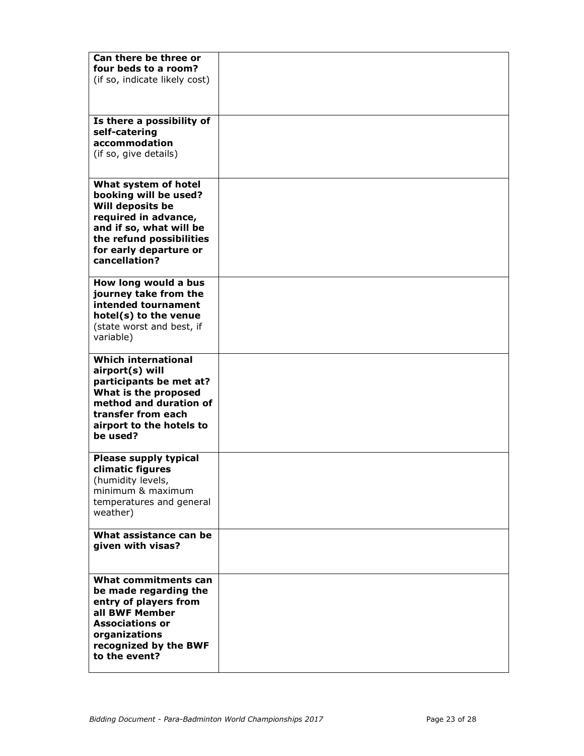| Can there be three or<br>four beds to a room?<br>(if so, indicate likely cost)                                                                                                              |  |
|---------------------------------------------------------------------------------------------------------------------------------------------------------------------------------------------|--|
| Is there a possibility of<br>self-catering<br>accommodation<br>(if so, give details)                                                                                                        |  |
| What system of hotel<br>booking will be used?<br>Will deposits be<br>required in advance,<br>and if so, what will be<br>the refund possibilities<br>for early departure or<br>cancellation? |  |
| How long would a bus<br>journey take from the<br>intended tournament<br>hotel(s) to the venue<br>(state worst and best, if<br>variable)                                                     |  |
| <b>Which international</b><br>airport(s) will<br>participants be met at?<br>What is the proposed<br>method and duration of<br>transfer from each<br>airport to the hotels to<br>be used?    |  |
| <b>Please supply typical</b><br>climatic figures<br>(humidity levels,<br>minimum & maximum<br>temperatures and general<br>weather)                                                          |  |
| What assistance can be<br>given with visas?                                                                                                                                                 |  |
| What commitments can<br>be made regarding the<br>entry of players from<br>all BWF Member<br><b>Associations or</b><br>organizations<br>recognized by the BWF<br>to the event?               |  |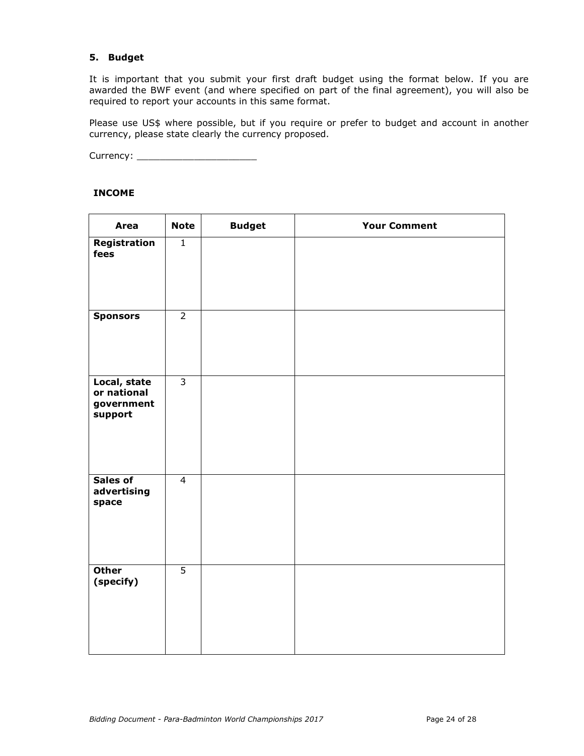## 5. Budget

It is important that you submit your first draft budget using the format below. If you are awarded the BWF event (and where specified on part of the final agreement), you will also be required to report your accounts in this same format.

Please use US\$ where possible, but if you require or prefer to budget and account in another currency, please state clearly the currency proposed.

Currency: \_\_\_\_\_\_\_\_\_\_\_\_\_\_\_\_\_\_\_\_\_

#### INCOME

| <b>Area</b>                                          | <b>Note</b>    | <b>Budget</b> | <b>Your Comment</b> |
|------------------------------------------------------|----------------|---------------|---------------------|
| Registration<br>fees                                 | $\mathbf{1}$   |               |                     |
| <b>Sponsors</b>                                      | $\overline{2}$ |               |                     |
| Local, state<br>or national<br>government<br>support | $\overline{3}$ |               |                     |
| Sales of<br>advertising<br>space                     | $\overline{4}$ |               |                     |
| <b>Other</b><br>(specify)                            | $\overline{5}$ |               |                     |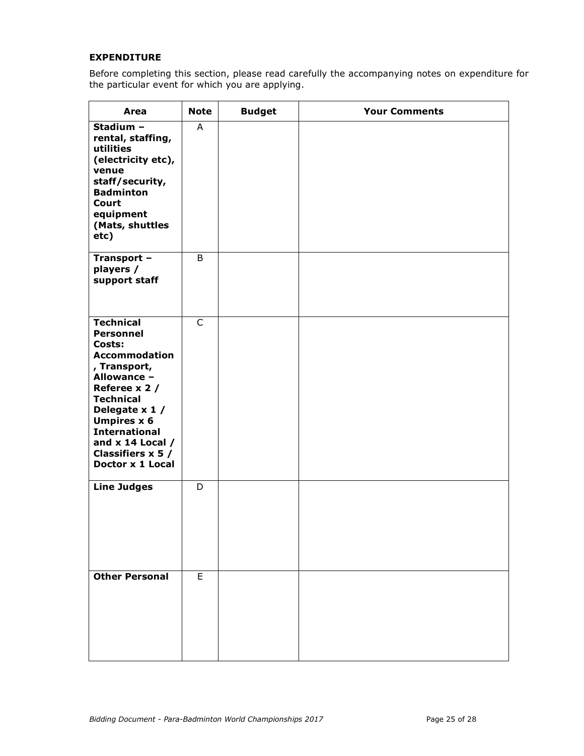#### EXPENDITURE

Before completing this section, please read carefully the accompanying notes on expenditure for the particular event for which you are applying.

| Area                                                                                                                                                                                                                                                                                 | <b>Note</b>    | <b>Budget</b> | <b>Your Comments</b> |
|--------------------------------------------------------------------------------------------------------------------------------------------------------------------------------------------------------------------------------------------------------------------------------------|----------------|---------------|----------------------|
| Stadium -<br>rental, staffing,<br>utilities<br>(electricity etc),<br>venue<br>staff/security,<br><b>Badminton</b><br><b>Court</b><br>equipment<br>(Mats, shuttles<br>etc)                                                                                                            | A              |               |                      |
| Transport -<br>players /<br>support staff                                                                                                                                                                                                                                            | B              |               |                      |
| <b>Technical</b><br><b>Personnel</b><br>Costs:<br><b>Accommodation</b><br>, Transport,<br>Allowance -<br>Referee x 2 /<br><b>Technical</b><br>Delegate x 1 /<br><b>Umpires x 6</b><br><b>International</b><br>and $x$ 14 Local $/$<br>Classifiers $x 5 /$<br><b>Doctor x 1 Local</b> | $\mathsf{C}$   |               |                      |
| <b>Line Judges</b>                                                                                                                                                                                                                                                                   | D              |               |                      |
| <b>Other Personal</b>                                                                                                                                                                                                                                                                | $\overline{E}$ |               |                      |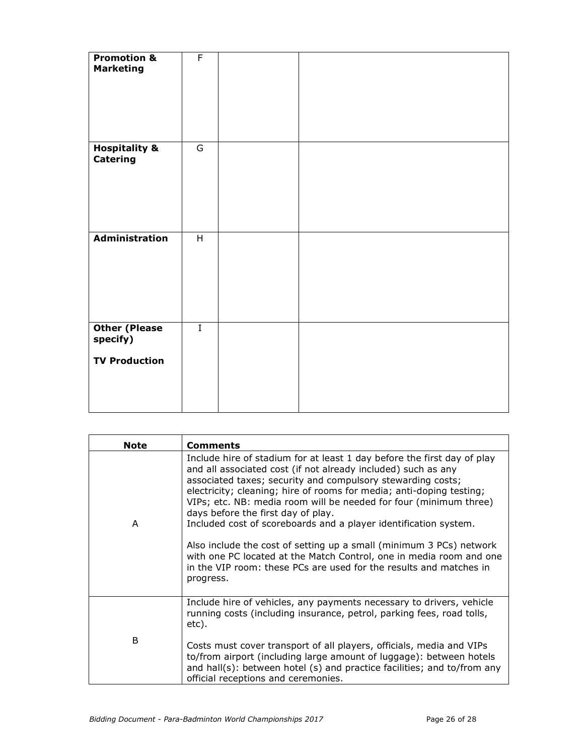| <b>Promotion &amp;</b><br><b>Marketing</b>               | $\overline{F}$ |  |  |
|----------------------------------------------------------|----------------|--|--|
| <b>Hospitality &amp;</b><br><b>Catering</b>              | $\overline{G}$ |  |  |
| <b>Administration</b>                                    | H              |  |  |
| <b>Other (Please</b><br>specify)<br><b>TV Production</b> | $\overline{I}$ |  |  |

| <b>Note</b> | <b>Comments</b>                                                                                                                                                                                                                                                                                                                                                                                                                                                                                                                                                                                                                                                                                 |
|-------------|-------------------------------------------------------------------------------------------------------------------------------------------------------------------------------------------------------------------------------------------------------------------------------------------------------------------------------------------------------------------------------------------------------------------------------------------------------------------------------------------------------------------------------------------------------------------------------------------------------------------------------------------------------------------------------------------------|
| A           | Include hire of stadium for at least 1 day before the first day of play<br>and all associated cost (if not already included) such as any<br>associated taxes; security and compulsory stewarding costs;<br>electricity; cleaning; hire of rooms for media; anti-doping testing;<br>VIPs; etc. NB: media room will be needed for four (minimum three)<br>days before the first day of play.<br>Included cost of scoreboards and a player identification system.<br>Also include the cost of setting up a small (minimum 3 PCs) network<br>with one PC located at the Match Control, one in media room and one<br>in the VIP room: these PCs are used for the results and matches in<br>progress. |
|             | Include hire of vehicles, any payments necessary to drivers, vehicle<br>running costs (including insurance, petrol, parking fees, road tolls,<br>etc).                                                                                                                                                                                                                                                                                                                                                                                                                                                                                                                                          |
| B           | Costs must cover transport of all players, officials, media and VIPs<br>to/from airport (including large amount of luggage): between hotels<br>and hall(s): between hotel (s) and practice facilities; and to/from any<br>official receptions and ceremonies.                                                                                                                                                                                                                                                                                                                                                                                                                                   |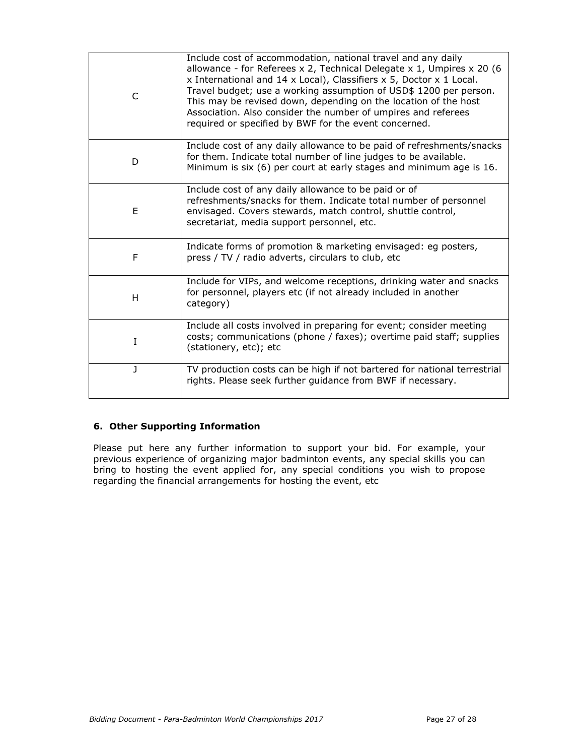| C | Include cost of accommodation, national travel and any daily<br>allowance - for Referees x 2, Technical Delegate x 1, Umpires x 20 (6<br>x International and 14 x Local), Classifiers x 5, Doctor x 1 Local.<br>Travel budget; use a working assumption of USD\$ 1200 per person.<br>This may be revised down, depending on the location of the host<br>Association. Also consider the number of umpires and referees<br>required or specified by BWF for the event concerned. |
|---|--------------------------------------------------------------------------------------------------------------------------------------------------------------------------------------------------------------------------------------------------------------------------------------------------------------------------------------------------------------------------------------------------------------------------------------------------------------------------------|
| D | Include cost of any daily allowance to be paid of refreshments/snacks<br>for them. Indicate total number of line judges to be available.<br>Minimum is six (6) per court at early stages and minimum age is 16.                                                                                                                                                                                                                                                                |
| E | Include cost of any daily allowance to be paid or of<br>refreshments/snacks for them. Indicate total number of personnel<br>envisaged. Covers stewards, match control, shuttle control,<br>secretariat, media support personnel, etc.                                                                                                                                                                                                                                          |
| F | Indicate forms of promotion & marketing envisaged: eg posters,<br>press / TV / radio adverts, circulars to club, etc                                                                                                                                                                                                                                                                                                                                                           |
| H | Include for VIPs, and welcome receptions, drinking water and snacks<br>for personnel, players etc (if not already included in another<br>category)                                                                                                                                                                                                                                                                                                                             |
| I | Include all costs involved in preparing for event; consider meeting<br>costs; communications (phone / faxes); overtime paid staff; supplies<br>(stationery, etc); etc                                                                                                                                                                                                                                                                                                          |
| J | TV production costs can be high if not bartered for national terrestrial<br>rights. Please seek further guidance from BWF if necessary.                                                                                                                                                                                                                                                                                                                                        |

## 6. Other Supporting Information

Please put here any further information to support your bid. For example, your previous experience of organizing major badminton events, any special skills you can bring to hosting the event applied for, any special conditions you wish to propose regarding the financial arrangements for hosting the event, etc